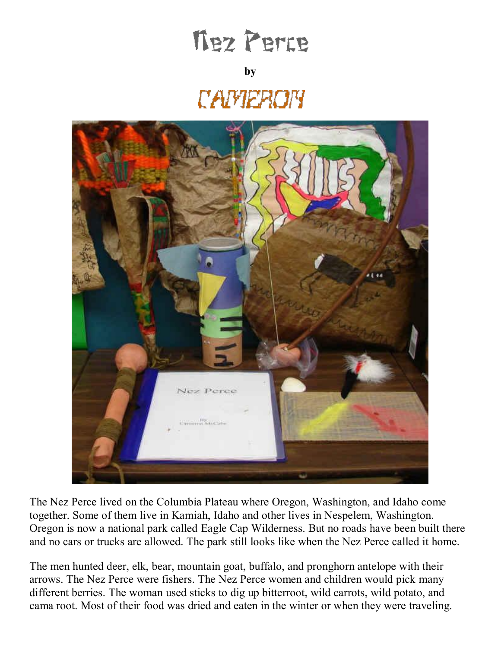## **Thez Perce**

## **by**

## *CAMERON*



The Nez Perce lived on the Columbia Plateau where Oregon, Washington, and Idaho come together. Some of them live in Kamiah, Idaho and other lives in Nespelem, Washington. Oregon is now a national park called Eagle Cap Wilderness. But no roads have been built there and no cars or trucks are allowed. The park still looks like when the Nez Perce called it home.

The men hunted deer, elk, bear, mountain goat, buffalo, and pronghorn antelope with their arrows. The Nez Perce were fishers. The Nez Perce women and children would pick many different berries. The woman used sticks to dig up bitterroot, wild carrots, wild potato, and cama root. Most of their food was dried and eaten in the winter or when they were traveling.